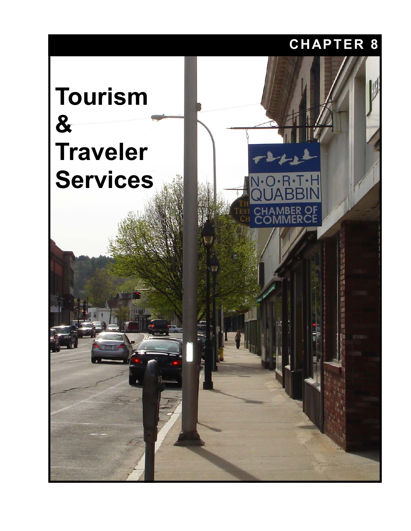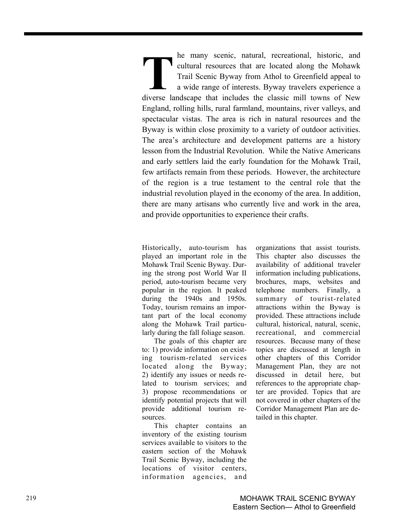he many scenic, natural, recreational, historic, and cultural resources that are located along the Mohawk Trail Scenic Byway from Athol to Greenfield appeal to a wide range of interests. Byway travelers experience a diverse landscape that includes the classic mill towns of New England, rolling hills, rural farmland, mountains, river valleys, and spectacular vistas. The area is rich in natural resources and the Byway is within close proximity to a variety of outdoor activities. The area's architecture and development patterns are a history lesson from the Industrial Revolution. While the Native Americans and early settlers laid the early foundation for the Mohawk Trail, few artifacts remain from these periods. However, the architecture of the region is a true testament to the central role that the industrial revolution played in the economy of the area. In addition, there are many artisans who currently live and work in the area, and provide opportunities to experience their crafts. **T** a v diverse lands

Historically, auto-tourism has played an important role in the Mohawk Trail Scenic Byway. During the strong post World War II period, auto-tourism became very popular in the region. It peaked during the 1940s and 1950s. Today, tourism remains an important part of the local economy along the Mohawk Trail particularly during the fall foliage season.

The goals of this chapter are to: 1) provide information on existing tourism-related services located along the Byway; 2) identify any issues or needs related to tourism services; and 3) propose recommendations or identify potential projects that will provide additional tourism resources.

This chapter contains an inventory of the existing tourism services available to visitors to the eastern section of the Mohawk Trail Scenic Byway, including the locations of visitor centers, information agencies, and

organizations that assist tourists. This chapter also discusses the availability of additional traveler information including publications, brochures, maps, websites and telephone numbers. Finally, a summary of tourist-related attractions within the Byway is provided. These attractions include cultural, historical, natural, scenic, recreational, and commercial resources. Because many of these topics are discussed at length in other chapters of this Corridor Management Plan, they are not discussed in detail here, but references to the appropriate chapter are provided. Topics that are not covered in other chapters of the Corridor Management Plan are detailed in this chapter.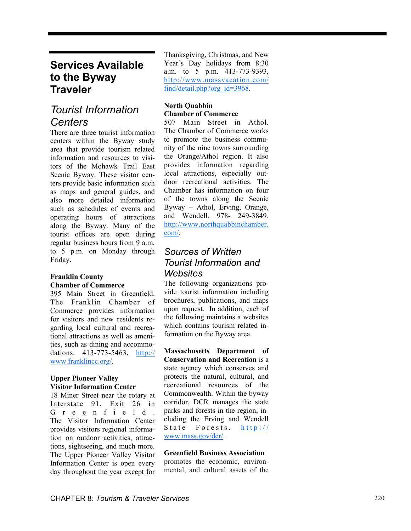# **Services Available to the Byway Traveler**

# *Tourist Information Centers*

There are three tourist information centers within the Byway study area that provide tourism related information and resources to visitors of the Mohawk Trail East Scenic Byway. These visitor centers provide basic information such as maps and general guides, and also more detailed information such as schedules of events and operating hours of attractions along the Byway. Many of the tourist offices are open during regular business hours from 9 a.m. to 5 p.m. on Monday through Friday.

#### **Franklin County Chamber of Commerce**

395 Main Street in Greenfield. The Franklin Chamber of Commerce provides information for visitors and new residents regarding local cultural and recreational attractions as well as amenities, such as dining and accommodations. 413-773-5463, http:// www.franklincc.org/.

#### **Upper Pioneer Valley Visitor Information Center**

18 Miner Street near the rotary at Interstate 91, Exit 26 in G r e e n f i e l d . The Visitor Information Center provides visitors regional information on outdoor activities, attractions, sightseeing, and much more. The Upper Pioneer Valley Visitor Information Center is open every day throughout the year except for Thanksgiving, Christmas, and New Year's Day holidays from 8:30 a.m. to 5 p.m. 413-773-9393, http://www.massvacation.com/ find/detail.php?org\_id=3968.

#### **North Quabbin Chamber of Commerce**

507 Main Street in Athol. The Chamber of Commerce works to promote the business community of the nine towns surrounding the Orange/Athol region. It also provides information regarding local attractions, especially outdoor recreational activities. The Chamber has information on four of the towns along the Scenic Byway – Athol, Erving, Orange, and Wendell. 978- 249-3849. http://www.northquabbinchamber. com/.

# *Sources of Written Tourist Information and Websites*

The following organizations provide tourist information including brochures, publications, and maps upon request. In addition, each of the following maintains a websites which contains tourism related information on the Byway area.

**Massachusetts Department of Conservation and Recreation** is a state agency which conserves and protects the natural, cultural, and recreational resources of the Commonwealth. Within the byway corridor, DCR manages the state parks and forests in the region, including the Erving and Wendell State Forests. http:// www.mass.gov/dcr/.

#### **Greenfield Business Association**

promotes the economic, environmental, and cultural assets of the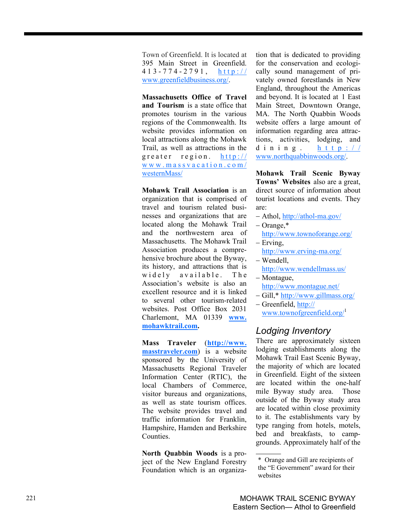Town of Greenfield. It is located at 395 Main Street in Greenfield. 413-774-2791, http:// www.greenfieldbusiness.org/.

**Massachusetts Office of Travel and Tourism** is a state office that promotes tourism in the various regions of the Commonwealth. Its website provides information on local attractions along the Mohawk Trail, as well as attractions in the greater region. http:// www.massvacation.com/ westernMass/

**Mohawk Trail Association** is an organization that is comprised of travel and tourism related businesses and organizations that are located along the Mohawk Trail and the northwestern area of Massachusetts. The Mohawk Trail Association produces a comprehensive brochure about the Byway, its history, and attractions that is widely available. The Association's website is also an excellent resource and it is linked to several other tourism-related websites. Post Office Box 2031 Charlemont, MA 01339 **www. mohawktrail.com.** 

**Mass Traveler**  (**http://www. masstraveler.com**) is a website sponsored by the University of Massachusetts Regional Traveler Information Center (RTIC), the local Chambers of Commerce, visitor bureaus and organizations, as well as state tourism offices. The website provides travel and traffic information for Franklin, Hampshire, Hamden and Berkshire Counties.

**North Quabbin Woods** is a project of the New England Forestry Foundation which is an organization that is dedicated to providing for the conservation and ecologically sound management of privately owned forestlands in New England, throughout the Americas and beyond. It is located at 1 East Main Street, Downtown Orange, MA. The North Quabbin Woods website offers a large amount of information regarding area attractions, activities, lodging, and dining. http:// www.northquabbinwoods.org/.

**Mohawk Trail Scenic Byway Towns' Websites** also are a great, direct source of information about tourist locations and events. They are:

- − Athol, http://athol-ma.gov/
- − Orange,\* http://www.townoforange.org/
- − Erving, http://www.erving-ma.org/
- − Wendell,
- http://www.wendellmass.us/
- − Montague, http://www.montague.net/
- − Gill,\* http://www.gillmass.org/
- − Greenfield, http://
	- www.townofgreenfield.org/

#### *Lodging Inventory*

There are approximately sixteen lodging establishments along the Mohawk Trail East Scenic Byway, the majority of which are located in Greenfield. Eight of the sixteen are located within the one-half mile Byway study area. Those outside of the Byway study area are located within close proximity to it. The establishments vary by type ranging from hotels, motels, bed and breakfasts, to campgrounds. Approximately half of the

<sup>\*</sup> Orange and Gill are recipients of the "E Government" award for their websites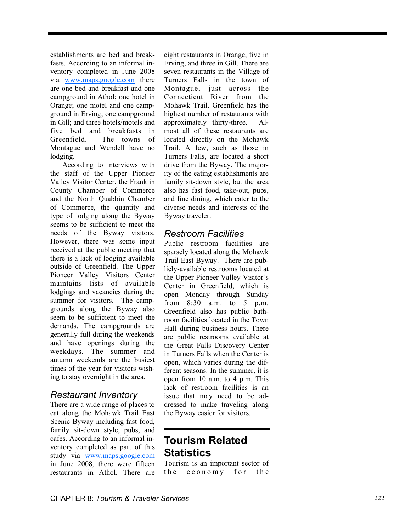establishments are bed and breakfasts. According to an informal inventory completed in June 2008 via www.maps.google.com there are one bed and breakfast and one campground in Athol; one hotel in Orange; one motel and one campground in Erving; one campground in Gill; and three hotels/motels and five bed and breakfasts in Greenfield. The towns of Montague and Wendell have no lodging.

According to interviews with the staff of the Upper Pioneer Valley Visitor Center, the Franklin County Chamber of Commerce and the North Quabbin Chamber of Commerce, the quantity and type of lodging along the Byway seems to be sufficient to meet the needs of the Byway visitors. However, there was some input received at the public meeting that there is a lack of lodging available outside of Greenfield. The Upper Pioneer Valley Visitors Center maintains lists of available lodgings and vacancies during the summer for visitors. The campgrounds along the Byway also seem to be sufficient to meet the demands. The campgrounds are generally full during the weekends and have openings during the weekdays. The summer and autumn weekends are the busiest times of the year for visitors wishing to stay overnight in the area.

# *Restaurant Inventory*

There are a wide range of places to eat along the Mohawk Trail East Scenic Byway including fast food, family sit-down style, pubs, and cafes. According to an informal inventory completed as part of this study via www.maps.google.com in June 2008, there were fifteen restaurants in Athol. There are eight restaurants in Orange, five in Erving, and three in Gill. There are seven restaurants in the Village of Turners Falls in the town of Montague, just across the Connecticut River from the Mohawk Trail. Greenfield has the highest number of restaurants with approximately thirty-three. Almost all of these restaurants are located directly on the Mohawk Trail. A few, such as those in Turners Falls, are located a short drive from the Byway. The majority of the eating establishments are family sit-down style, but the area also has fast food, take-out, pubs, and fine dining, which cater to the diverse needs and interests of the Byway traveler.

### *Restroom Facilities*

Public restroom facilities are sparsely located along the Mohawk Trail East Byway. There are publicly-available restrooms located at the Upper Pioneer Valley Visitor's Center in Greenfield, which is open Monday through Sunday from 8:30 a.m. to 5 p.m. Greenfield also has public bathroom facilities located in the Town Hall during business hours. There are public restrooms available at the Great Falls Discovery Center in Turners Falls when the Center is open, which varies during the different seasons. In the summer, it is open from 10 a.m. to 4 p.m. This lack of restroom facilities is an issue that may need to be addressed to make traveling along the Byway easier for visitors.

# **Tourism Related Statistics**

Tourism is an important sector of the economy for the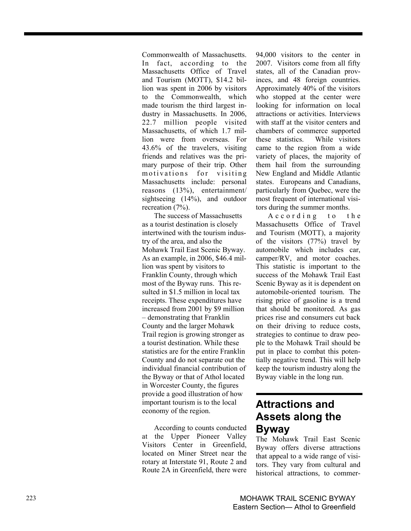Commonwealth of Massachusetts. In fact, according to the Massachusetts Office of Travel and Tourism (MOTT), \$14.2 billion was spent in 2006 by visitors to the Commonwealth, which made tourism the third largest industry in Massachusetts. In 2006, 22.7 million people visited Massachusetts, of which 1.7 million were from overseas. For 43.6% of the travelers, visiting friends and relatives was the primary purpose of their trip. Other motivations for visiting Massachusetts include: personal reasons (13%), entertainment/ sightseeing (14%), and outdoor recreation (7%).

The success of Massachusetts as a tourist destination is closely intertwined with the tourism industry of the area, and also the Mohawk Trail East Scenic Byway. As an example, in 2006, \$46.4 million was spent by visitors to Franklin County, through which most of the Byway runs. This resulted in \$1.5 million in local tax receipts. These expenditures have increased from 2001 by \$9 million – demonstrating that Franklin County and the larger Mohawk Trail region is growing stronger as a tourist destination. While these statistics are for the entire Franklin County and do not separate out the individual financial contribution of the Byway or that of Athol located in Worcester County, the figures provide a good illustration of how important tourism is to the local economy of the region.

According to counts conducted at the Upper Pioneer Valley Visitors Center in Greenfield, located on Miner Street near the rotary at Interstate 91, Route 2 and Route 2A in Greenfield, there were 94,000 visitors to the center in 2007. Visitors come from all fifty states, all of the Canadian provinces, and 48 foreign countries. Approximately 40% of the visitors who stopped at the center were looking for information on local attractions or activities. Interviews with staff at the visitor centers and chambers of commerce supported these statistics. While visitors came to the region from a wide variety of places, the majority of them hail from the surrounding New England and Middle Atlantic states. Europeans and Canadians, particularly from Quebec, were the most frequent of international visitors during the summer months.

A c c ording to the Massachusetts Office of Travel and Tourism (MOTT), a majority of the visitors (77%) travel by automobile which includes car, camper/RV, and motor coaches. This statistic is important to the success of the Mohawk Trail East Scenic Byway as it is dependent on automobile-oriented tourism. The rising price of gasoline is a trend that should be monitored. As gas prices rise and consumers cut back on their driving to reduce costs, strategies to continue to draw people to the Mohawk Trail should be put in place to combat this potentially negative trend. This will help keep the tourism industry along the Byway viable in the long run.

# **Attractions and Assets along the Byway**

The Mohawk Trail East Scenic Byway offers diverse attractions that appeal to a wide range of visitors. They vary from cultural and historical attractions, to commer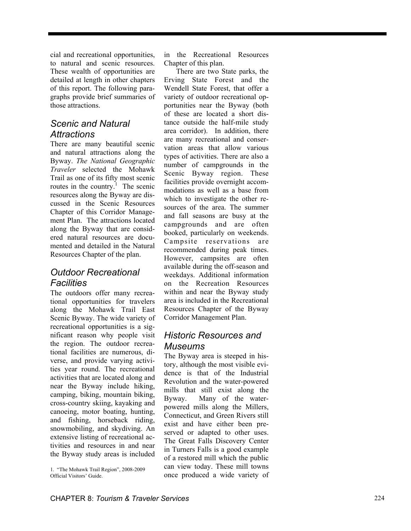cial and recreational opportunities, to natural and scenic resources. These wealth of opportunities are detailed at length in other chapters of this report. The following paragraphs provide brief summaries of those attractions.

### *Scenic and Natural Attractions*

There are many beautiful scenic and natural attractions along the Byway. *The National Geographic Traveler* selected the Mohawk Trail as one of its fifty most scenic routes in the country.<sup>1</sup> The scenic resources along the Byway are discussed in the Scenic Resources Chapter of this Corridor Management Plan. The attractions located along the Byway that are considered natural resources are documented and detailed in the Natural Resources Chapter of the plan.

# *Outdoor Recreational Facilities*

The outdoors offer many recreational opportunities for travelers along the Mohawk Trail East Scenic Byway. The wide variety of recreational opportunities is a significant reason why people visit the region. The outdoor recreational facilities are numerous, diverse, and provide varying activities year round. The recreational activities that are located along and near the Byway include hiking, camping, biking, mountain biking, cross-country skiing, kayaking and canoeing, motor boating, hunting, and fishing, horseback riding, snowmobiling, and skydiving. An extensive listing of recreational activities and resources in and near the Byway study areas is included in the Recreational Resources Chapter of this plan.

There are two State parks, the Erving State Forest and the Wendell State Forest, that offer a variety of outdoor recreational opportunities near the Byway (both of these are located a short distance outside the half-mile study area corridor). In addition, there are many recreational and conservation areas that allow various types of activities. There are also a number of campgrounds in the Scenic Byway region. These facilities provide overnight accommodations as well as a base from which to investigate the other resources of the area. The summer and fall seasons are busy at the campgrounds and are often booked, particularly on weekends. Campsite reservations are recommended during peak times. However, campsites are often available during the off-season and weekdays. Additional information on the Recreation Resources within and near the Byway study area is included in the Recreational Resources Chapter of the Byway Corridor Management Plan.

# *Historic Resources and Museums*

The Byway area is steeped in history, although the most visible evidence is that of the Industrial Revolution and the water-powered mills that still exist along the Byway. Many of the waterpowered mills along the Millers, Connecticut, and Green Rivers still exist and have either been preserved or adapted to other uses. The Great Falls Discovery Center in Turners Falls is a good example of a restored mill which the public can view today. These mill towns once produced a wide variety of 1. "The Mohawk Trail Region", 2008-2009

Official Visitors' Guide.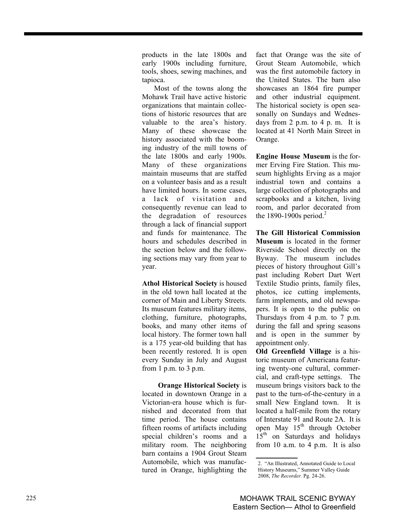products in the late 1800s and early 1900s including furniture, tools, shoes, sewing machines, and tapioca.

Most of the towns along the Mohawk Trail have active historic organizations that maintain collections of historic resources that are valuable to the area's history. Many of these showcase the history associated with the booming industry of the mill towns of the late 1800s and early 1900s. Many of these organizations maintain museums that are staffed on a volunteer basis and as a result have limited hours. In some cases, a lack of visitation and consequently revenue can lead to the degradation of resources through a lack of financial support and funds for maintenance. The hours and schedules described in the section below and the following sections may vary from year to year.

**Athol Historical Society** is housed in the old town hall located at the corner of Main and Liberty Streets. Its museum features military items, clothing, furniture, photographs, books, and many other items of local history. The former town hall is a 175 year-old building that has been recently restored. It is open every Sunday in July and August from 1 p.m. to 3 p.m.

 **Orange Historical Society** is located in downtown Orange in a Victorian-era house which is furnished and decorated from that time period. The house contains fifteen rooms of artifacts including special children's rooms and a military room. The neighboring barn contains a 1904 Grout Steam Automobile, which was manufactured in Orange, highlighting the

fact that Orange was the site of Grout Steam Automobile, which was the first automobile factory in the United States. The barn also showcases an 1864 fire pumper and other industrial equipment. The historical society is open seasonally on Sundays and Wednesdays from 2 p.m. to 4 p. m. It is located at 41 North Main Street in Orange.

**Engine House Museum** is the former Erving Fire Station. This museum highlights Erving as a major industrial town and contains a large collection of photographs and scrapbooks and a kitchen, living room, and parlor decorated from the 1890-1900s period.<sup>2</sup>

**The Gill Historical Commission Museum** is located in the former Riverside School directly on the Byway. The museum includes pieces of history throughout Gill's past including Robert Dart Wert Textile Studio prints, family files, photos, ice cutting implements, farm implements, and old newspapers. It is open to the public on Thursdays from 4 p.m. to 7 p.m. during the fall and spring seasons and is open in the summer by appointment only.

**Old Greenfield Village** is a historic museum of Americana featuring twenty-one cultural, commercial, and craft-type settings. The museum brings visitors back to the past to the turn-of-the-century in a small New England town. It is located a half-mile from the rotary of Interstate 91 and Route 2A. It is open May 15<sup>th</sup> through October 15<sup>th</sup> on Saturdays and holidays from 10 a.m. to 4 p.m. It is also

<sup>2. &</sup>quot;An Illustrated, Annotated Guide to Local History Museums," Summer Valley Guide 2008, *The Recorder.* Pg. 24-26.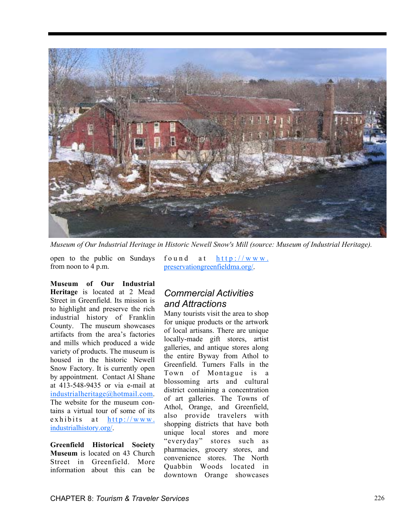

*Museum of Our Industrial Heritage in Historic Newell Snow's Mill (source: Museum of Industrial Heritage).* 

open to the public on Sundays from noon to 4 p.m.

found at  $h$ ttp://www. preservationgreenfieldma.org/.

**Museum of Our Industrial Heritage** is located at 2 Mead Street in Greenfield. Its mission is to highlight and preserve the rich industrial history of Franklin County. The museum showcases artifacts from the area's factories and mills which produced a wide variety of products. The museum is housed in the historic Newell Snow Factory. It is currently open by appointment. Contact Al Shane at 413-548-9435 or via e-mail at industrialheritage@hotmail.com. The website for the museum contains a virtual tour of some of its exhibits at  $http://www.$ industrialhistory.org/.

**Greenfield Historical Society Museum** is located on 43 Church Street in Greenfield. More information about this can be

# *Commercial Activities and Attractions*

Many tourists visit the area to shop for unique products or the artwork of local artisans. There are unique locally-made gift stores, artist galleries, and antique stores along the entire Byway from Athol to Greenfield. Turners Falls in the Town of Montague is a blossoming arts and cultural district containing a concentration of art galleries. The Towns of Athol, Orange, and Greenfield, also provide travelers with shopping districts that have both unique local stores and more "everyday" stores such as pharmacies, grocery stores, and convenience stores. The North Quabbin Woods located in downtown Orange showcases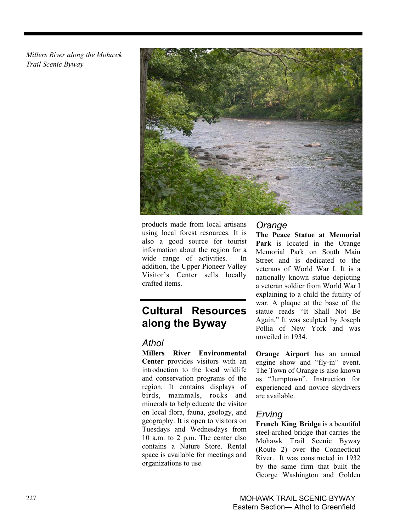*Millers River along the Mohawk Trail Scenic Byway* 



products made from local artisans using local forest resources. It is also a good source for tourist information about the region for a wide range of activities. In addition, the Upper Pioneer Valley Visitor's Center sells locally crafted items.

# **Cultural Resources along the Byway**

### *Athol*

**Millers River Environmental Center** provides visitors with an introduction to the local wildlife and conservation programs of the region. It contains displays of birds, mammals, rocks and minerals to help educate the visitor on local flora, fauna, geology, and geography. It is open to visitors on Tuesdays and Wednesdays from 10 a.m. to 2 p.m. The center also contains a Nature Store. Rental space is available for meetings and organizations to use.

### *Orange*

**The Peace Statue at Memorial Park** is located in the Orange Memorial Park on South Main Street and is dedicated to the veterans of World War I. It is a nationally known statue depicting a veteran soldier from World War I explaining to a child the futility of war. A plaque at the base of the statue reads "It Shall Not Be Again." It was sculpted by Joseph Pollia of New York and was unveiled in 1934.

**Orange Airport** has an annual engine show and "fly-in" event. The Town of Orange is also known as "Jumptown". Instruction for experienced and novice skydivers are available.

# *Erving*

**French King Bridge** is a beautiful steel-arched bridge that carries the Mohawk Trail Scenic Byway (Route 2) over the Connecticut River. It was constructed in 1932 by the same firm that built the George Washington and Golden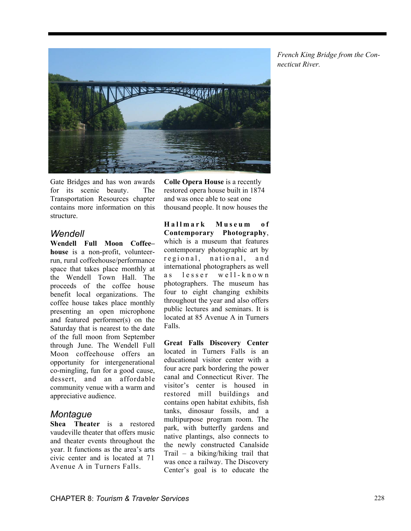

Gate Bridges and has won awards for its scenic beauty. The Transportation Resources chapter contains more information on this structure.

#### *Wendell*

**Wendell Full Moon Coffee– house** is a non-profit, volunteerrun, rural coffeehouse/performance space that takes place monthly at the Wendell Town Hall. The proceeds of the coffee house benefit local organizations. The coffee house takes place monthly presenting an open microphone and featured performer(s) on the Saturday that is nearest to the date of the full moon from September through June. The Wendell Full Moon coffeehouse offers an opportunity for intergenerational co-mingling, fun for a good cause, dessert, and an affordable community venue with a warm and appreciative audience.

#### *Montague*

**Shea Theater** is a restored vaudeville theater that offers music and theater events throughout the year. It functions as the area's arts civic center and is located at 71 Avenue A in Turners Falls.

**Colle Opera House** is a recently restored opera house built in 1874 and was once able to seat one thousand people. It now houses the

**H a l l m a r k M u s e u m o f Contemporary Photography**, which is a museum that features contemporary photographic art by regional, national, and international photographers as well as lesser well-known photographers. The museum has four to eight changing exhibits throughout the year and also offers public lectures and seminars. It is located at 85 Avenue A in Turners Falls.

**Great Falls Discovery Center**  located in Turners Falls is an educational visitor center with a four acre park bordering the power canal and Connecticut River. The visitor's center is housed in restored mill buildings and contains open habitat exhibits, fish tanks, dinosaur fossils, and a multipurpose program room. The park, with butterfly gardens and native plantings, also connects to the newly constructed Canalside Trail – a biking/hiking trail that was once a railway. The Discovery Center's goal is to educate the *French King Bridge from the Connecticut River.*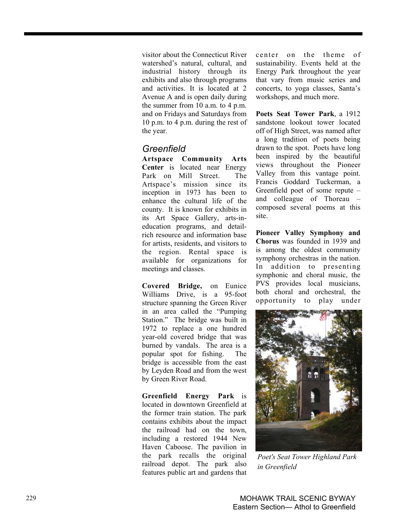visitor about the Connecticut River watershed's natural, cultural, and industrial history through its exhibits and also through programs and activities. It is located at 2 Avenue A and is open daily during the summer from 10 a.m. to 4 p.m. and on Fridays and Saturdays from 10 p.m. to 4 p.m. during the rest of the year.

### *Greenfield*

**Artspace Community Arts Center** is located near Energy Park on Mill Street. The Artspace's mission since its inception in 1973 has been to enhance the cultural life of the county. It is known for exhibits in its Art Space Gallery, arts-ineducation programs, and detailrich resource and information base for artists, residents, and visitors to the region. Rental space is available for organizations for meetings and classes.

**Covered Bridge,** on Eunice Williams Drive, is a 95-foot structure spanning the Green River in an area called the "Pumping Station." The bridge was built in 1972 to replace a one hundred year-old covered bridge that was burned by vandals. The area is a popular spot for fishing. The bridge is accessible from the east by Leyden Road and from the west by Green River Road.

**Greenfield Energy Park** is located in downtown Greenfield at the former train station. The park contains exhibits about the impact the railroad had on the town, including a restored 1944 New Haven Caboose. The pavilion in the park recalls the original railroad depot. The park also features public art and gardens that center on the theme of sustainability. Events held at the Energy Park throughout the year that vary from music series and concerts, to yoga classes, Santa's workshops, and much more.

**Poets Seat Tower Park**, a 1912 sandstone lookout tower located off of High Street, was named after a long tradition of poets being drawn to the spot. Poets have long been inspired by the beautiful views throughout the Pioneer Valley from this vantage point. Francis Goddard Tuckerman, a Greenfield poet of some repute – and colleague of Thoreau – composed several poems at this site.

**Pioneer Valley Symphony and Chorus** was founded in 1939 and is among the oldest community symphony orchestras in the nation. In addition to presenting symphonic and choral music, the PVS provides local musicians, both choral and orchestral, the opportunity to play under



*Poet's Seat Tower Highland Park in Greenfield*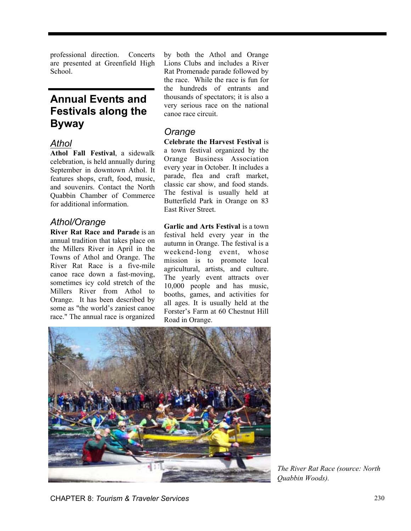professional direction. Concerts are presented at Greenfield High School.

# **Annual Events and Festivals along the Byway**

#### *Athol*

**Athol Fall Festival**, a sidewalk celebration, is held annually during September in downtown Athol. It features shops, craft, food, music, and souvenirs. Contact the North Quabbin Chamber of Commerce for additional information.

# *Athol/Orange*

**River Rat Race and Parade** is an annual tradition that takes place on the Millers River in April in the Towns of Athol and Orange. The River Rat Race is a five-mile canoe race down a fast-moving, sometimes icy cold stretch of the Millers River from Athol to Orange. It has been described by some as "the world's zaniest canoe race." The annual race is organized

by both the Athol and Orange Lions Clubs and includes a River Rat Promenade parade followed by the race. While the race is fun for the hundreds of entrants and thousands of spectators; it is also a very serious race on the national canoe race circuit.

# *Orange*

**Celebrate the Harvest Festival** is a town festival organized by the Orange Business Association every year in October. It includes a parade, flea and craft market, classic car show, and food stands. The festival is usually held at Butterfield Park in Orange on 83 East River Street.

**Garlic and Arts Festival** is a town festival held every year in the autumn in Orange. The festival is a weekend-long event, whose mission is to promote local agricultural, artists, and culture. The yearly event attracts over 10,000 people and has music, booths, games, and activities for all ages. It is usually held at the Forster's Farm at 60 Chestnut Hill Road in Orange.



*The River Rat Race (source: North Quabbin Woods).*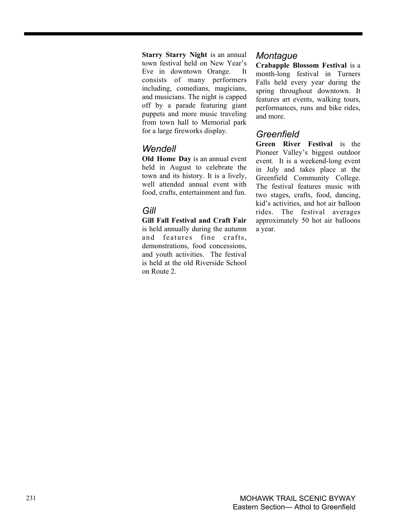**Starry Starry Night** is an annual town festival held on New Year's Eve in downtown Orange. It consists of many performers including, comedians, magicians, and musicians. The night is capped off by a parade featuring giant puppets and more music traveling from town hall to Memorial park for a large fireworks display.

#### *Wendell*

**Old Home Day** is an annual event held in August to celebrate the town and its history. It is a lively, well attended annual event with food, crafts, entertainment and fun.

### *Gill*

**Gill Fall Festival and Craft Fair** is held annually during the autumn and features fine crafts, demonstrations, food concessions, and youth activities. The festival is held at the old Riverside School on Route 2.

#### *Montague*

**Crabapple Blossom Festival** is a month-long festival in Turners Falls held every year during the spring throughout downtown. It features art events, walking tours, performances, runs and bike rides, and more.

### *Greenfield*

**Green River Festival** is the Pioneer Valley's biggest outdoor event. It is a weekend-long event in July and takes place at the Greenfield Community College. The festival features music with two stages, crafts, food, dancing, kid's activities, and hot air balloon rides. The festival averages approximately 50 hot air balloons a year.